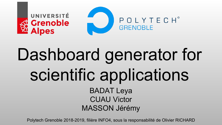

# Dashboard generator for scientific applications BADAT Leya CUAU Victor MASSON Jérémy

Polytech Grenoble 2018-2019, filière INFO4, sous la responsabilité de Olivier RICHARD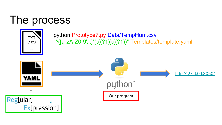#### The process

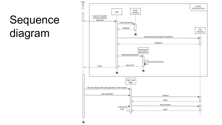# Sequence diagram

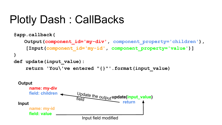## Plotly Dash : CallBacks

```
@app.callback(
   Output(component_id='my-div', component_property='children'),
     [Input(component_id='my-id', component_property='value')]
)
def update(input_value):
     return 'You\'ve entered "{}"'.format(input_value)
```
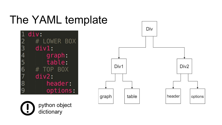#### The YAML template





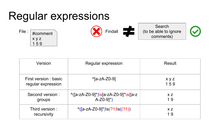#### Regular expressions



| Version                                     | Regular expression                                                                             | Result               |
|---------------------------------------------|------------------------------------------------------------------------------------------------|----------------------|
| First version : basic<br>regular expression | $^4$ [a-zA-Z0-9]                                                                               | x y z<br>159         |
| Second version:<br>groups                   | $\frac{\sqrt{24}}{24}$ - Z0-9]* $\sqrt{24}$ - ZA-Z0-9]* $\sqrt{24}$<br>$A-Z0-9$ <sup>*</sup> ) | X <sub>Z</sub><br>19 |
| Third version:<br>recursivity               | $\binom{1}{(a-zA-Z0-9)^*}\s(?1)\s(('?)')$                                                      | X <sub>Z</sub><br>19 |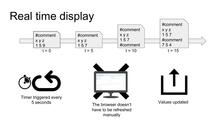### Real time display





Timer triggered every





Values updated

5 seconds The browser doesn't have to be refreshed manually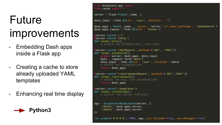# Future improvements

- Embedding Dash apps inside a Flask app
- Creating a cache to store already uploaded YAML templates
- Enhancing real time display



```
from dashboard app import *
from cache import *
server = flask.Flask( name )
data input = html.H1(id = 'user', children = ''')dash appl = Dash( name , server = server, url base pathname = '/dashboard/')
dash appl.layout = html.Div(id = 'father')
 server.route('/')
 server.route('/help')
def render help():
    # DISPLAY AN INTRODUCTION / HELP PAGE
 Server.route('/dashboard', methods=['GET', 'POST'])
def render dashboard():
    global server, dash app1, data input
    data = request.format('data')data_input = html.H1(id = 'user', children = data)
    # UPDATE THE DASHBOARD APP
    return dash appl
 Server.route('/realtimedashboard', methods=['GET','POST'])
def render realtimedash():
    # UPDATE THE REAL TIME DASHBOARD APP
    return dash app2
 server.route('/templates')
def render cachedtemp():
    # DISPLAY THE CACHED TEMPLATES
app = DispatcherMiddeware(server, {'/dash1': dash_app1.server,
    '/dash2': dash app2.server,
\mathcal{H}run simple('0.0.0.0', 5000, app, use reloader=True, use debugger=True)
```